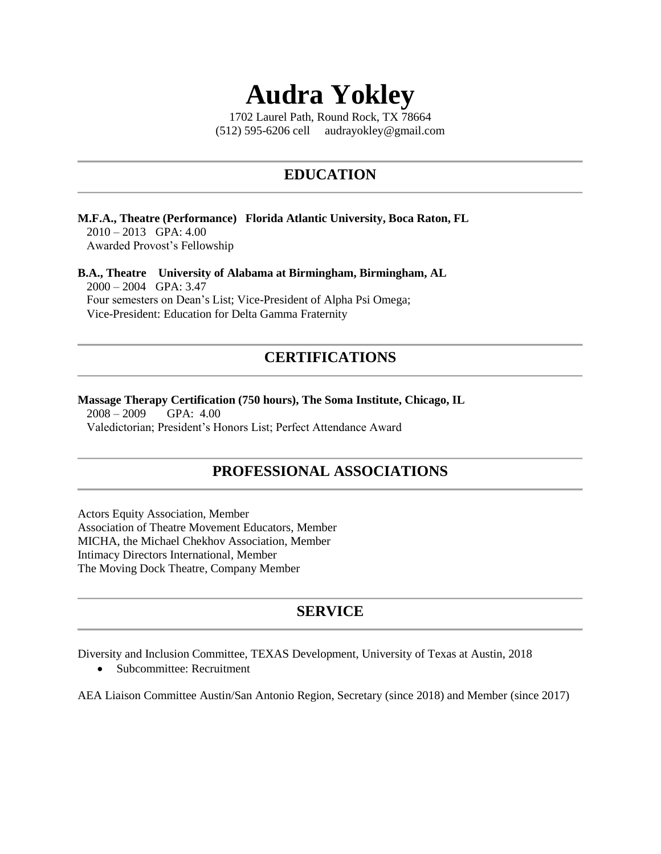# **Audra Yokley**

1702 Laurel Path, Round Rock, TX 78664 (512) 595-6206 cell audrayokley@gmail.com

### **EDUCATION**

#### **M.F.A., Theatre (Performance) Florida Atlantic University, Boca Raton, FL** 2010 – 2013 GPA: 4.00 Awarded Provost's Fellowship

**B.A., Theatre University of Alabama at Birmingham, Birmingham, AL** 2000 – 2004 GPA: 3.47 Four semesters on Dean's List; Vice-President of Alpha Psi Omega; Vice-President: Education for Delta Gamma Fraternity

### **CERTIFICATIONS**

#### **Massage Therapy Certification (750 hours), The Soma Institute, Chicago, IL**

 2008 – 2009 GPA: 4.00 Valedictorian; President's Honors List; Perfect Attendance Award

### **PROFESSIONAL ASSOCIATIONS**

Actors Equity Association, Member Association of Theatre Movement Educators, Member MICHA, the Michael Chekhov Association, Member Intimacy Directors International, Member The Moving Dock Theatre, Company Member

### **SERVICE**

Diversity and Inclusion Committee, TEXAS Development, University of Texas at Austin, 2018

• Subcommittee: Recruitment

AEA Liaison Committee Austin/San Antonio Region, Secretary (since 2018) and Member (since 2017)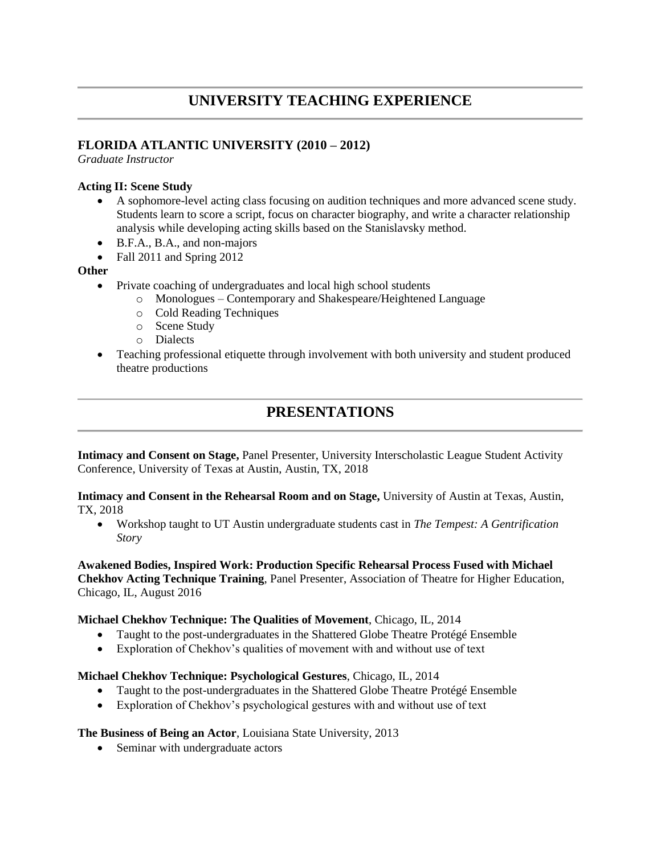### **UNIVERSITY TEACHING EXPERIENCE**

#### **FLORIDA ATLANTIC UNIVERSITY (2010 – 2012)**

*Graduate Instructor*

#### **Acting II: Scene Study**

- A sophomore-level acting class focusing on audition techniques and more advanced scene study. Students learn to score a script, focus on character biography, and write a character relationship analysis while developing acting skills based on the Stanislavsky method.
- B.F.A., B.A., and non-majors
- Fall 2011 and Spring 2012

#### **Other**

- Private coaching of undergraduates and local high school students
	- o Monologues Contemporary and Shakespeare/Heightened Language
	- o Cold Reading Techniques
	- o Scene Study
	- o Dialects
- Teaching professional etiquette through involvement with both university and student produced theatre productions

### **PRESENTATIONS**

**Intimacy and Consent on Stage,** Panel Presenter, University Interscholastic League Student Activity Conference, University of Texas at Austin, Austin, TX, 2018

**Intimacy and Consent in the Rehearsal Room and on Stage,** University of Austin at Texas, Austin, TX, 2018

• Workshop taught to UT Austin undergraduate students cast in *The Tempest: A Gentrification Story*

**Awakened Bodies, Inspired Work: Production Specific Rehearsal Process Fused with Michael Chekhov Acting Technique Training**, Panel Presenter, Association of Theatre for Higher Education, Chicago, IL, August 2016

#### **Michael Chekhov Technique: The Qualities of Movement**, Chicago, IL, 2014

- Taught to the post-undergraduates in the Shattered Globe Theatre Protégé Ensemble
- Exploration of Chekhov's qualities of movement with and without use of text

#### **Michael Chekhov Technique: Psychological Gestures**, Chicago, IL, 2014

- Taught to the post-undergraduates in the Shattered Globe Theatre Protégé Ensemble
- Exploration of Chekhov's psychological gestures with and without use of text

#### **The Business of Being an Actor**, Louisiana State University, 2013

• Seminar with undergraduate actors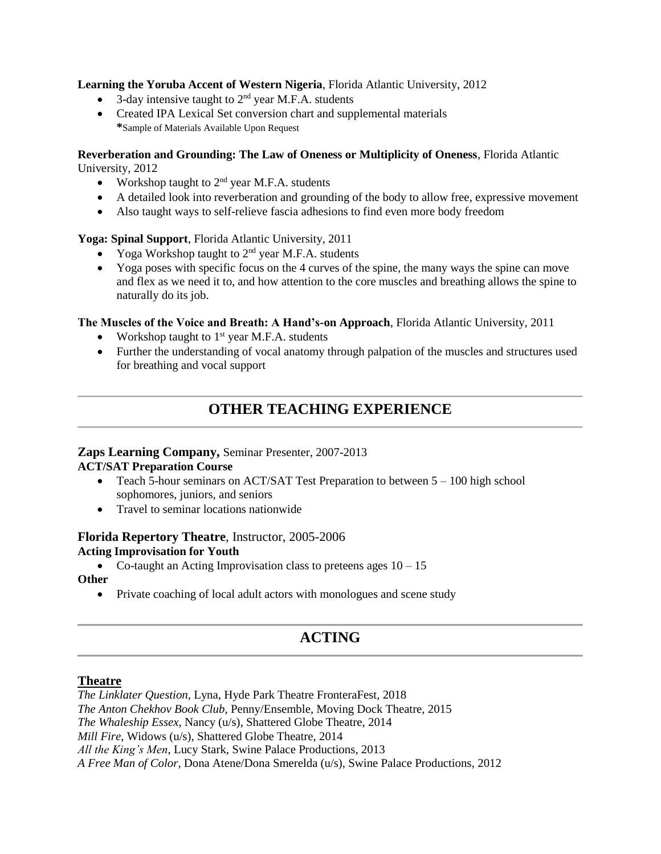**Learning the Yoruba Accent of Western Nigeria**, Florida Atlantic University, 2012

- 3-day intensive taught to  $2<sup>nd</sup>$  year M.F.A. students
- Created IPA Lexical Set conversion chart and supplemental materials **\***Sample of Materials Available Upon Request

#### **Reverberation and Grounding: The Law of Oneness or Multiplicity of Oneness**, Florida Atlantic University, 2012

- Workshop taught to  $2<sup>nd</sup>$  year M.F.A. students
- A detailed look into reverberation and grounding of the body to allow free, expressive movement
- Also taught ways to self-relieve fascia adhesions to find even more body freedom

#### **Yoga: Spinal Support**, Florida Atlantic University, 2011

- Yoga Workshop taught to  $2<sup>nd</sup>$  year M.F.A. students
- Yoga poses with specific focus on the 4 curves of the spine, the many ways the spine can move and flex as we need it to, and how attention to the core muscles and breathing allows the spine to naturally do its job.

#### **The Muscles of the Voice and Breath: A Hand's-on Approach**, Florida Atlantic University, 2011

- Workshop taught to  $1<sup>st</sup>$  year M.F.A. students
- Further the understanding of vocal anatomy through palpation of the muscles and structures used for breathing and vocal support

### **OTHER TEACHING EXPERIENCE**

### **Zaps Learning Company,** Seminar Presenter, 2007-2013

#### **ACT/SAT Preparation Course**

- Teach 5-hour seminars on ACT/SAT Test Preparation to between  $5 100$  high school sophomores, juniors, and seniors
- Travel to seminar locations nationwide

#### **Florida Repertory Theatre**, Instructor, 2005-2006 **Acting Improvisation for Youth**

• Co-taught an Acting Improvisation class to preteens ages  $10 - 15$ 

**Other**

• Private coaching of local adult actors with monologues and scene study

### **ACTING**

#### **Theatre**

*The Linklater Question*, Lyna, Hyde Park Theatre FronteraFest, 2018 *The Anton Chekhov Book Club*, Penny/Ensemble, Moving Dock Theatre, 2015 *The Whaleship Essex*, Nancy (u/s), Shattered Globe Theatre, 2014 *Mill Fire*, Widows (u/s), Shattered Globe Theatre, 2014 *All the King's Men*, Lucy Stark, Swine Palace Productions, 2013 *A Free Man of Color*, Dona Atene/Dona Smerelda (u/s), Swine Palace Productions, 2012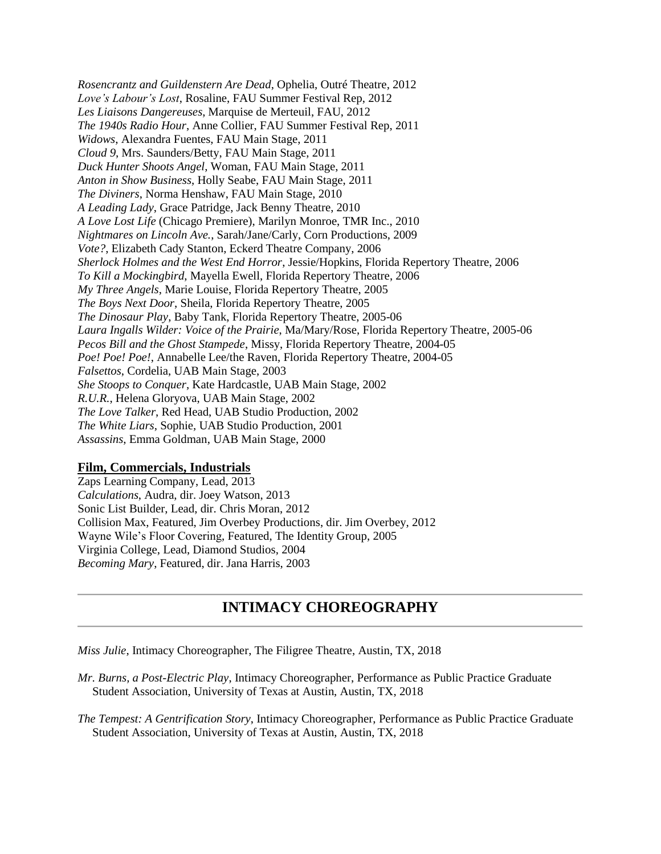*Rosencrantz and Guildenstern Are Dead*, Ophelia, Outré Theatre, 2012 *Love's Labour's Lost*, Rosaline, FAU Summer Festival Rep, 2012 *Les Liaisons Dangereuses*, Marquise de Merteuil, FAU, 2012 *The 1940s Radio Hour*, Anne Collier, FAU Summer Festival Rep, 2011 *Widows*, Alexandra Fuentes, FAU Main Stage, 2011 *Cloud 9*, Mrs. Saunders/Betty, FAU Main Stage, 2011 *Duck Hunter Shoots Angel*, Woman, FAU Main Stage, 2011 *Anton in Show Business*, Holly Seabe, FAU Main Stage, 2011 *The Diviners*, Norma Henshaw, FAU Main Stage, 2010 *A Leading Lady*, Grace Patridge, Jack Benny Theatre, 2010 *A Love Lost Life* (Chicago Premiere), Marilyn Monroe, TMR Inc., 2010 *Nightmares on Lincoln Ave.*, Sarah/Jane/Carly, Corn Productions, 2009 *Vote?*, Elizabeth Cady Stanton, Eckerd Theatre Company, 2006 *Sherlock Holmes and the West End Horror*, Jessie/Hopkins, Florida Repertory Theatre, 2006 *To Kill a Mockingbird*, Mayella Ewell, Florida Repertory Theatre, 2006 *My Three Angels*, Marie Louise, Florida Repertory Theatre, 2005 *The Boys Next Door*, Sheila, Florida Repertory Theatre, 2005 *The Dinosaur Play*, Baby Tank, Florida Repertory Theatre, 2005-06 *Laura Ingalls Wilder: Voice of the Prairie*, Ma/Mary/Rose, Florida Repertory Theatre, 2005-06 *Pecos Bill and the Ghost Stampede*, Missy, Florida Repertory Theatre, 2004-05 *Poe! Poe! Poe!*, Annabelle Lee/the Raven, Florida Repertory Theatre, 2004-05 *Falsettos*, Cordelia, UAB Main Stage, 2003 *She Stoops to Conquer*, Kate Hardcastle, UAB Main Stage, 2002 *R.U.R.*, Helena Gloryova, UAB Main Stage, 2002 *The Love Talker*, Red Head, UAB Studio Production, 2002 *The White Liars*, Sophie, UAB Studio Production, 2001 *Assassins*, Emma Goldman, UAB Main Stage, 2000

#### **Film, Commercials, Industrials**

Zaps Learning Company, Lead, 2013 *Calculations*, Audra, dir. Joey Watson, 2013 Sonic List Builder, Lead, dir. Chris Moran, 2012 Collision Max, Featured, Jim Overbey Productions, dir. Jim Overbey, 2012 Wayne Wile's Floor Covering, Featured, The Identity Group, 2005 Virginia College, Lead, Diamond Studios, 2004 *Becoming Mary*, Featured, dir. Jana Harris, 2003

### **INTIMACY CHOREOGRAPHY**

*Miss Julie*, Intimacy Choreographer, The Filigree Theatre, Austin, TX, 2018

*Mr. Burns, a Post-Electric Play*, Intimacy Choreographer, Performance as Public Practice Graduate Student Association, University of Texas at Austin, Austin, TX, 2018

*The Tempest: A Gentrification Story*, Intimacy Choreographer, Performance as Public Practice Graduate Student Association, University of Texas at Austin, Austin, TX, 2018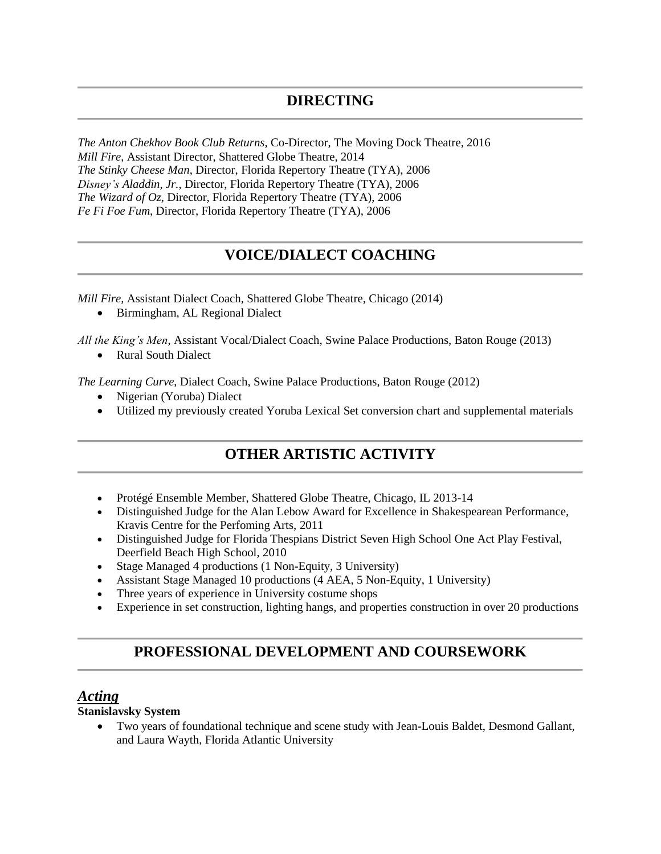*The Anton Chekhov Book Club Returns*, Co-Director, The Moving Dock Theatre, 2016 *Mill Fire*, Assistant Director, Shattered Globe Theatre, 2014 *The Stinky Cheese Man*, Director, Florida Repertory Theatre (TYA), 2006 *Disney's Aladdin, Jr.*, Director, Florida Repertory Theatre (TYA), 2006 *The Wizard of Oz*, Director, Florida Repertory Theatre (TYA), 2006 *Fe Fi Foe Fum*, Director, Florida Repertory Theatre (TYA), 2006

## **VOICE/DIALECT COACHING**

*Mill Fire*, Assistant Dialect Coach, Shattered Globe Theatre, Chicago (2014)

• Birmingham, AL Regional Dialect

*All the King's Men*, Assistant Vocal/Dialect Coach, Swine Palace Productions, Baton Rouge (2013)

• Rural South Dialect

*The Learning Curve*, Dialect Coach, Swine Palace Productions, Baton Rouge (2012)

- Nigerian (Yoruba) Dialect
- Utilized my previously created Yoruba Lexical Set conversion chart and supplemental materials

### **OTHER ARTISTIC ACTIVITY**

- Protégé Ensemble Member, Shattered Globe Theatre, Chicago, IL 2013-14
- Distinguished Judge for the Alan Lebow Award for Excellence in Shakespearean Performance, Kravis Centre for the Perfoming Arts, 2011
- Distinguished Judge for Florida Thespians District Seven High School One Act Play Festival, Deerfield Beach High School, 2010
- Stage Managed 4 productions (1 Non-Equity, 3 University)
- Assistant Stage Managed 10 productions (4 AEA, 5 Non-Equity, 1 University)
- Three years of experience in University costume shops
- Experience in set construction, lighting hangs, and properties construction in over 20 productions

### **PROFESSIONAL DEVELOPMENT AND COURSEWORK**

### *Acting*

**Stanislavsky System**

• Two years of foundational technique and scene study with Jean-Louis Baldet, Desmond Gallant, and Laura Wayth, Florida Atlantic University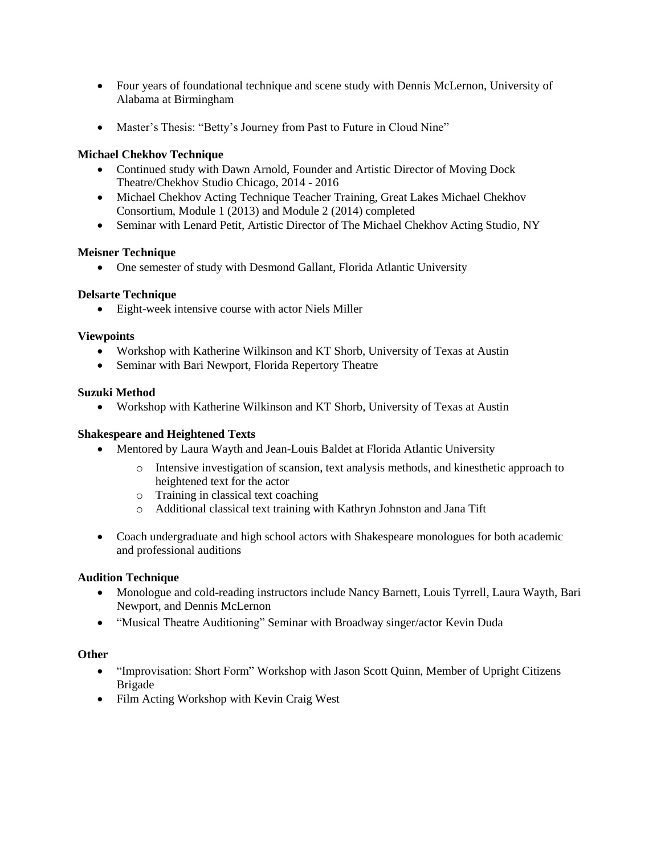- Four years of foundational technique and scene study with Dennis McLernon, University of Alabama at Birmingham
- Master's Thesis: "Betty's Journey from Past to Future in Cloud Nine"

#### **Michael Chekhov Technique**

- Continued study with Dawn Arnold, Founder and Artistic Director of Moving Dock Theatre/Chekhov Studio Chicago, 2014 - 2016
- Michael Chekhov Acting Technique Teacher Training, Great Lakes Michael Chekhov Consortium, Module 1 (2013) and Module 2 (2014) completed
- Seminar with Lenard Petit, Artistic Director of The Michael Chekhov Acting Studio, NY

#### **Meisner Technique**

• One semester of study with Desmond Gallant, Florida Atlantic University

#### **Delsarte Technique**

• Eight-week intensive course with actor Niels Miller

#### **Viewpoints**

- Workshop with Katherine Wilkinson and KT Shorb, University of Texas at Austin
- Seminar with Bari Newport, Florida Repertory Theatre

#### **Suzuki Method**

• Workshop with Katherine Wilkinson and KT Shorb, University of Texas at Austin

#### **Shakespeare and Heightened Texts**

- Mentored by Laura Wayth and Jean-Louis Baldet at Florida Atlantic University
	- o Intensive investigation of scansion, text analysis methods, and kinesthetic approach to heightened text for the actor
	- o Training in classical text coaching
	- o Additional classical text training with Kathryn Johnston and Jana Tift
- Coach undergraduate and high school actors with Shakespeare monologues for both academic and professional auditions

#### **Audition Technique**

- Monologue and cold-reading instructors include Nancy Barnett, Louis Tyrrell, Laura Wayth, Bari Newport, and Dennis McLernon
- "Musical Theatre Auditioning" Seminar with Broadway singer/actor Kevin Duda

#### **Other**

- "Improvisation: Short Form" Workshop with Jason Scott Quinn, Member of Upright Citizens Brigade
- Film Acting Workshop with Kevin Craig West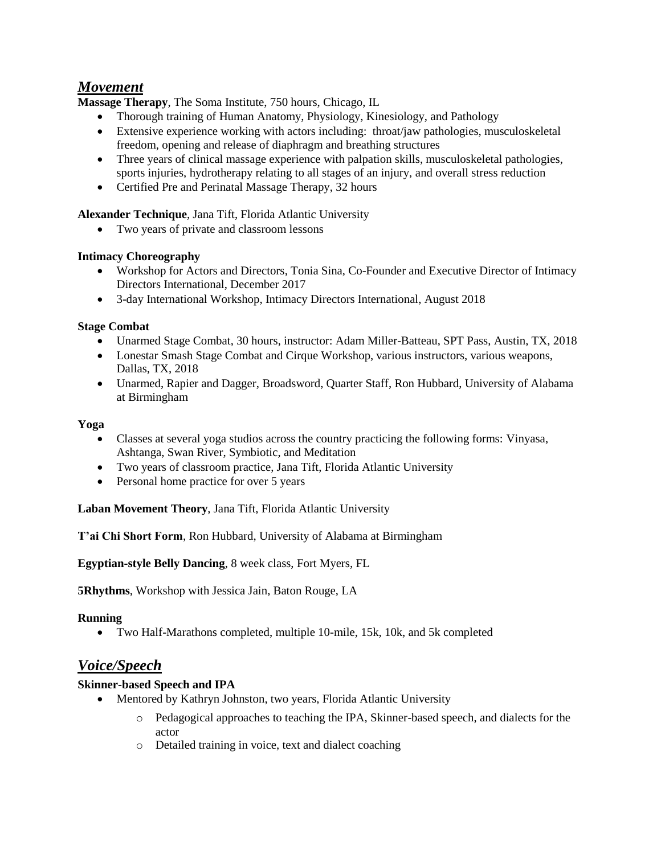### *Movement*

**Massage Therapy**, The Soma Institute, 750 hours, Chicago, IL

- Thorough training of Human Anatomy, Physiology, Kinesiology, and Pathology
- Extensive experience working with actors including: throat/jaw pathologies, musculoskeletal freedom, opening and release of diaphragm and breathing structures
- Three years of clinical massage experience with palpation skills, musculoskeletal pathologies, sports injuries, hydrotherapy relating to all stages of an injury, and overall stress reduction
- Certified Pre and Perinatal Massage Therapy, 32 hours

**Alexander Technique**, Jana Tift, Florida Atlantic University

• Two years of private and classroom lessons

#### **Intimacy Choreography**

- Workshop for Actors and Directors, Tonia Sina, Co-Founder and Executive Director of Intimacy Directors International, December 2017
- 3-day International Workshop, Intimacy Directors International, August 2018

#### **Stage Combat**

- Unarmed Stage Combat, 30 hours, instructor: Adam Miller-Batteau, SPT Pass, Austin, TX, 2018
- Lonestar Smash Stage Combat and Cirque Workshop, various instructors, various weapons, Dallas, TX, 2018
- Unarmed, Rapier and Dagger, Broadsword, Quarter Staff, Ron Hubbard, University of Alabama at Birmingham

#### **Yoga**

- Classes at several yoga studios across the country practicing the following forms: Vinyasa, Ashtanga, Swan River, Symbiotic, and Meditation
- Two years of classroom practice, Jana Tift, Florida Atlantic University
- Personal home practice for over 5 years

**Laban Movement Theory**, Jana Tift, Florida Atlantic University

**T'ai Chi Short Form**, Ron Hubbard, University of Alabama at Birmingham

**Egyptian-style Belly Dancing**, 8 week class, Fort Myers, FL

**5Rhythms**, Workshop with Jessica Jain, Baton Rouge, LA

#### **Running**

• Two Half-Marathons completed, multiple 10-mile, 15k, 10k, and 5k completed

### *Voice/Speech*

#### **Skinner-based Speech and IPA**

- Mentored by Kathryn Johnston, two years, Florida Atlantic University
	- o Pedagogical approaches to teaching the IPA, Skinner-based speech, and dialects for the actor
	- o Detailed training in voice, text and dialect coaching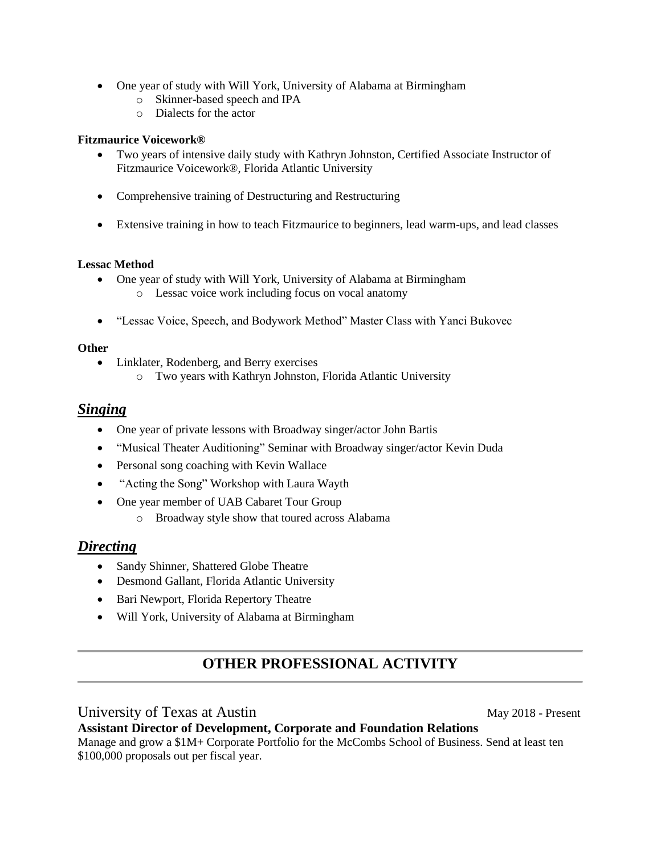- One year of study with Will York, University of Alabama at Birmingham
	- o Skinner-based speech and IPA
	- o Dialects for the actor

#### **Fitzmaurice Voicework®**

- Two years of intensive daily study with Kathryn Johnston, Certified Associate Instructor of Fitzmaurice Voicework®, Florida Atlantic University
- Comprehensive training of Destructuring and Restructuring
- Extensive training in how to teach Fitzmaurice to beginners, lead warm-ups, and lead classes

#### **Lessac Method**

- One year of study with Will York, University of Alabama at Birmingham o Lessac voice work including focus on vocal anatomy
- "Lessac Voice, Speech, and Bodywork Method" Master Class with Yanci Bukovec

#### **Other**

- Linklater, Rodenberg, and Berry exercises
	- o Two years with Kathryn Johnston, Florida Atlantic University

#### *Singing*

- One year of private lessons with Broadway singer/actor John Bartis
- "Musical Theater Auditioning" Seminar with Broadway singer/actor Kevin Duda
- Personal song coaching with Kevin Wallace
- "Acting the Song" Workshop with Laura Wayth
- One year member of UAB Cabaret Tour Group
	- o Broadway style show that toured across Alabama

### *Directing*

- Sandy Shinner, Shattered Globe Theatre
- Desmond Gallant, Florida Atlantic University
- Bari Newport, Florida Repertory Theatre
- Will York, University of Alabama at Birmingham

### **OTHER PROFESSIONAL ACTIVITY**

University of Texas at Austin May 2018 - Present

**Assistant Director of Development, Corporate and Foundation Relations** Manage and grow a \$1M+ Corporate Portfolio for the McCombs School of Business. Send at least ten \$100,000 proposals out per fiscal year.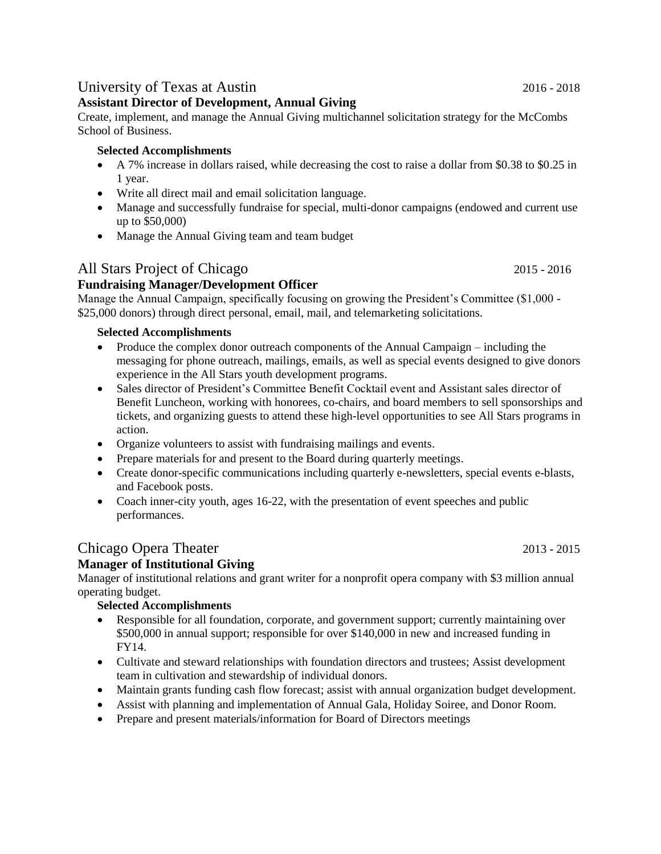### University of Texas at Austin 2016 - 2018

#### **Assistant Director of Development, Annual Giving**

Create, implement, and manage the Annual Giving multichannel solicitation strategy for the McCombs School of Business.

#### **Selected Accomplishments**

- A 7% increase in dollars raised, while decreasing the cost to raise a dollar from \$0.38 to \$0.25 in 1 year.
- Write all direct mail and email solicitation language.
- Manage and successfully fundraise for special, multi-donor campaigns (endowed and current use up to \$50,000)
- Manage the Annual Giving team and team budget

### All Stars Project of Chicago 2015 - 2016

### **Fundraising Manager/Development Officer**

Manage the Annual Campaign, specifically focusing on growing the President's Committee (\$1,000 - \$25,000 donors) through direct personal, email, mail, and telemarketing solicitations.

#### **Selected Accomplishments**

- Produce the complex donor outreach components of the Annual Campaign including the messaging for phone outreach, mailings, emails, as well as special events designed to give donors experience in the All Stars youth development programs.
- Sales director of President's Committee Benefit Cocktail event and Assistant sales director of Benefit Luncheon, working with honorees, co-chairs, and board members to sell sponsorships and tickets, and organizing guests to attend these high-level opportunities to see All Stars programs in action.
- Organize volunteers to assist with fundraising mailings and events.
- Prepare materials for and present to the Board during quarterly meetings.
- Create donor-specific communications including quarterly e-newsletters, special events e-blasts, and Facebook posts.
- Coach inner-city youth, ages 16-22, with the presentation of event speeches and public performances.

## Chicago Opera Theater 2013 - 2015

### **Manager of Institutional Giving**

Manager of institutional relations and grant writer for a nonprofit opera company with \$3 million annual operating budget.

#### **Selected Accomplishments**

- Responsible for all foundation, corporate, and government support; currently maintaining over \$500,000 in annual support; responsible for over \$140,000 in new and increased funding in FY14.
- Cultivate and steward relationships with foundation directors and trustees; Assist development team in cultivation and stewardship of individual donors.
- Maintain grants funding cash flow forecast; assist with annual organization budget development.
- Assist with planning and implementation of Annual Gala, Holiday Soiree, and Donor Room.
- Prepare and present materials/information for Board of Directors meetings